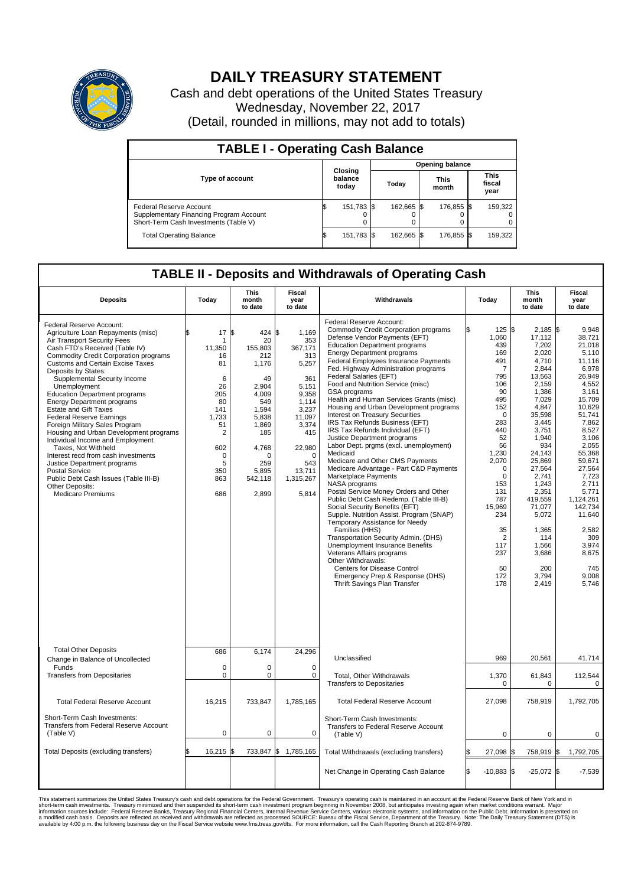

## **DAILY TREASURY STATEMENT**

Cash and debt operations of the United States Treasury Wednesday, November 22, 2017 (Detail, rounded in millions, may not add to totals)

| <b>TABLE I - Operating Cash Balance</b>                                                                     |    |                             |  |                        |  |                      |  |                               |  |  |  |
|-------------------------------------------------------------------------------------------------------------|----|-----------------------------|--|------------------------|--|----------------------|--|-------------------------------|--|--|--|
|                                                                                                             |    | Closing<br>balance<br>today |  | <b>Opening balance</b> |  |                      |  |                               |  |  |  |
| <b>Type of account</b>                                                                                      |    |                             |  | Today                  |  | <b>This</b><br>month |  | <b>This</b><br>fiscal<br>year |  |  |  |
| Federal Reserve Account<br>Supplementary Financing Program Account<br>Short-Term Cash Investments (Table V) |    | 151,783 \$                  |  | 162.665 \$             |  | 176,855 \$           |  | 159,322                       |  |  |  |
| <b>Total Operating Balance</b>                                                                              | ıа | 151,783 \$                  |  | 162.665 \$             |  | 176,855 \$           |  | 159,322                       |  |  |  |

## **TABLE II - Deposits and Withdrawals of Operating Cash**

| <b>Deposits</b>                                                                                                                                                                                                                                                                                                                                                                                                                                                                                                                                                                                                                                                                                                                                                          | Today                                                                                                                                                | <b>This</b><br>month<br>to date                                                                                                                                   | Fiscal<br>year<br>to date                                                                                                                                                 | Withdrawals                                                                                                                                                                                                                                                                                                                                                                                                                                                                                                                                                                                                                                                                                                                                                                                                                                                                                                                                                                                                                                                                                                                                                                                                                              | Today                                                                                                                                                                                                                                              | <b>This</b><br>month<br>to date                                                                                                                                                                                                                                                                      | Fiscal<br>year<br>to date                                                                                                                                                                                                                                                                                 |
|--------------------------------------------------------------------------------------------------------------------------------------------------------------------------------------------------------------------------------------------------------------------------------------------------------------------------------------------------------------------------------------------------------------------------------------------------------------------------------------------------------------------------------------------------------------------------------------------------------------------------------------------------------------------------------------------------------------------------------------------------------------------------|------------------------------------------------------------------------------------------------------------------------------------------------------|-------------------------------------------------------------------------------------------------------------------------------------------------------------------|---------------------------------------------------------------------------------------------------------------------------------------------------------------------------|------------------------------------------------------------------------------------------------------------------------------------------------------------------------------------------------------------------------------------------------------------------------------------------------------------------------------------------------------------------------------------------------------------------------------------------------------------------------------------------------------------------------------------------------------------------------------------------------------------------------------------------------------------------------------------------------------------------------------------------------------------------------------------------------------------------------------------------------------------------------------------------------------------------------------------------------------------------------------------------------------------------------------------------------------------------------------------------------------------------------------------------------------------------------------------------------------------------------------------------|----------------------------------------------------------------------------------------------------------------------------------------------------------------------------------------------------------------------------------------------------|------------------------------------------------------------------------------------------------------------------------------------------------------------------------------------------------------------------------------------------------------------------------------------------------------|-----------------------------------------------------------------------------------------------------------------------------------------------------------------------------------------------------------------------------------------------------------------------------------------------------------|
| Federal Reserve Account:<br>Agriculture Loan Repayments (misc)<br>Air Transport Security Fees<br>Cash FTD's Received (Table IV)<br>Commodity Credit Corporation programs<br><b>Customs and Certain Excise Taxes</b><br>Deposits by States:<br>Supplemental Security Income<br>Unemployment<br><b>Education Department programs</b><br><b>Energy Department programs</b><br><b>Estate and Gift Taxes</b><br><b>Federal Reserve Earnings</b><br>Foreign Military Sales Program<br>Housing and Urban Development programs<br>Individual Income and Employment<br>Taxes. Not Withheld<br>Interest recd from cash investments<br>Justice Department programs<br><b>Postal Service</b><br>Public Debt Cash Issues (Table III-B)<br>Other Deposits:<br><b>Medicare Premiums</b> | \$<br>17<br>-1<br>11,350<br>16<br>81<br>6<br>26<br>205<br>80<br>141<br>1,733<br>51<br>$\overline{2}$<br>602<br>$\mathbf 0$<br>5<br>350<br>863<br>686 | l\$<br>424 \$<br>20<br>155,803<br>212<br>1,176<br>49<br>2,904<br>4,009<br>549<br>1,594<br>5,838<br>1,869<br>185<br>4,768<br>∩<br>259<br>5,895<br>542,118<br>2,899 | 1,169<br>353<br>367,171<br>313<br>5,257<br>361<br>5,151<br>9,358<br>1.114<br>3,237<br>11,097<br>3,374<br>415<br>22,980<br>$\Omega$<br>543<br>13,711<br>1,315,267<br>5,814 | Federal Reserve Account:<br><b>Commodity Credit Corporation programs</b><br>Defense Vendor Payments (EFT)<br><b>Education Department programs</b><br><b>Energy Department programs</b><br><b>Federal Employees Insurance Payments</b><br>Fed. Highway Administration programs<br>Federal Salaries (EFT)<br>Food and Nutrition Service (misc)<br>GSA programs<br>Health and Human Services Grants (misc)<br>Housing and Urban Development programs<br>Interest on Treasury Securities<br>IRS Tax Refunds Business (EFT)<br>IRS Tax Refunds Individual (EFT)<br>Justice Department programs<br>Labor Dept. prgms (excl. unemployment)<br>Medicaid<br>Medicare and Other CMS Payments<br>Medicare Advantage - Part C&D Payments<br>Marketplace Payments<br>NASA programs<br>Postal Service Money Orders and Other<br>Public Debt Cash Redemp. (Table III-B)<br>Social Security Benefits (EFT)<br>Supple. Nutrition Assist. Program (SNAP)<br>Temporary Assistance for Needy<br>Families (HHS)<br>Transportation Security Admin. (DHS)<br><b>Unemployment Insurance Benefits</b><br>Veterans Affairs programs<br>Other Withdrawals:<br><b>Centers for Disease Control</b><br>Emergency Prep & Response (DHS)<br>Thrift Savings Plan Transfer | 125S<br>1,060<br>439<br>169<br>491<br>7<br>795<br>106<br>90<br>495<br>152<br>$\Omega$<br>283<br>440<br>52<br>56<br>1,230<br>2,070<br>$\Omega$<br>0<br>153<br>131<br>787<br>15,969<br>234<br>35<br>$\overline{2}$<br>117<br>237<br>50<br>172<br>178 | $2,185$ \$<br>17,112<br>7,202<br>2,020<br>4,710<br>2,844<br>13,563<br>2,159<br>1,386<br>7,029<br>4,847<br>35,598<br>3,445<br>3,751<br>1.940<br>934<br>24,143<br>25,869<br>27,564<br>2,741<br>1,243<br>2,351<br>419,559<br>71,077<br>5,072<br>1,365<br>114<br>1,566<br>3,686<br>200<br>3,794<br>2,419 | 9.948<br>38.721<br>21,018<br>5,110<br>11,116<br>6,978<br>26,949<br>4,552<br>3,161<br>15.709<br>10,629<br>51,741<br>7,862<br>8,527<br>3.106<br>2,055<br>55,368<br>59,671<br>27.564<br>7,723<br>2,711<br>5,771<br>1,124,261<br>142,734<br>11,640<br>2,582<br>309<br>3,974<br>8,675<br>745<br>9,008<br>5,746 |
| <b>Total Other Deposits</b><br>Change in Balance of Uncollected                                                                                                                                                                                                                                                                                                                                                                                                                                                                                                                                                                                                                                                                                                          | 686                                                                                                                                                  | 6,174                                                                                                                                                             | 24,296                                                                                                                                                                    | Unclassified                                                                                                                                                                                                                                                                                                                                                                                                                                                                                                                                                                                                                                                                                                                                                                                                                                                                                                                                                                                                                                                                                                                                                                                                                             | 969                                                                                                                                                                                                                                                | 20,561                                                                                                                                                                                                                                                                                               | 41,714                                                                                                                                                                                                                                                                                                    |
| Funds<br><b>Transfers from Depositaries</b>                                                                                                                                                                                                                                                                                                                                                                                                                                                                                                                                                                                                                                                                                                                              | $\mathbf 0$<br>$\mathbf 0$                                                                                                                           | 0<br>0                                                                                                                                                            | $\mathbf 0$<br>$\mathbf 0$                                                                                                                                                | Total, Other Withdrawals<br><b>Transfers to Depositaries</b>                                                                                                                                                                                                                                                                                                                                                                                                                                                                                                                                                                                                                                                                                                                                                                                                                                                                                                                                                                                                                                                                                                                                                                             | 1,370<br>0                                                                                                                                                                                                                                         | 61,843<br>0                                                                                                                                                                                                                                                                                          | 112,544<br>0                                                                                                                                                                                                                                                                                              |
| <b>Total Federal Reserve Account</b>                                                                                                                                                                                                                                                                                                                                                                                                                                                                                                                                                                                                                                                                                                                                     | 16,215                                                                                                                                               | 733,847                                                                                                                                                           | 1,785,165                                                                                                                                                                 | <b>Total Federal Reserve Account</b>                                                                                                                                                                                                                                                                                                                                                                                                                                                                                                                                                                                                                                                                                                                                                                                                                                                                                                                                                                                                                                                                                                                                                                                                     | 27,098                                                                                                                                                                                                                                             | 758.919                                                                                                                                                                                                                                                                                              | 1,792,705                                                                                                                                                                                                                                                                                                 |
| Short-Term Cash Investments:<br>Transfers from Federal Reserve Account<br>(Table V)                                                                                                                                                                                                                                                                                                                                                                                                                                                                                                                                                                                                                                                                                      | $\mathbf 0$                                                                                                                                          | 0                                                                                                                                                                 | $\mathbf 0$                                                                                                                                                               | Short-Term Cash Investments:<br>Transfers to Federal Reserve Account<br>(Table V)                                                                                                                                                                                                                                                                                                                                                                                                                                                                                                                                                                                                                                                                                                                                                                                                                                                                                                                                                                                                                                                                                                                                                        | 0                                                                                                                                                                                                                                                  | $\mathbf 0$                                                                                                                                                                                                                                                                                          | 0                                                                                                                                                                                                                                                                                                         |
| Total Deposits (excluding transfers)                                                                                                                                                                                                                                                                                                                                                                                                                                                                                                                                                                                                                                                                                                                                     | 16,215<br>\$                                                                                                                                         | l\$                                                                                                                                                               | 733,847 \$ 1,785,165                                                                                                                                                      | Total Withdrawals (excluding transfers)                                                                                                                                                                                                                                                                                                                                                                                                                                                                                                                                                                                                                                                                                                                                                                                                                                                                                                                                                                                                                                                                                                                                                                                                  | 27,098 \$                                                                                                                                                                                                                                          | 758,919 \$                                                                                                                                                                                                                                                                                           | 1,792,705                                                                                                                                                                                                                                                                                                 |
|                                                                                                                                                                                                                                                                                                                                                                                                                                                                                                                                                                                                                                                                                                                                                                          |                                                                                                                                                      |                                                                                                                                                                   |                                                                                                                                                                           | Net Change in Operating Cash Balance                                                                                                                                                                                                                                                                                                                                                                                                                                                                                                                                                                                                                                                                                                                                                                                                                                                                                                                                                                                                                                                                                                                                                                                                     | \$<br>$-10,883$ \$                                                                                                                                                                                                                                 | $-25,072$ \$                                                                                                                                                                                                                                                                                         | $-7,539$                                                                                                                                                                                                                                                                                                  |

This statement summarizes the United States Treasury's cash and debt operations for the Federal Government. Treasury soperating in November 2008, but anticiarded in a cocount at the Federal Reserve Bank of New York and in<br>